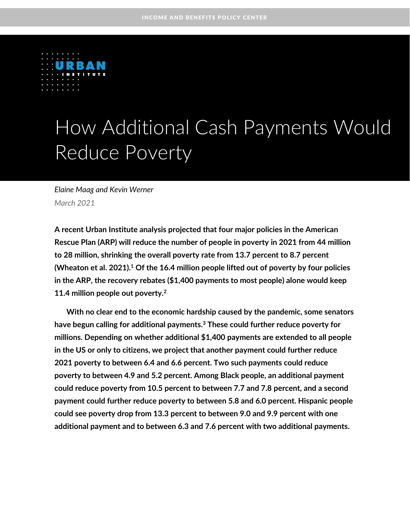

# How Additional Cash Payments Would Reduce Poverty

*Elaine Maag and Kevin Werner March 2021*

**A recent Urban Institute analysis projected that four major policies in the American Rescue Plan (ARP) will reduce the number of people in poverty in 2021 from 44 million to 28 million, shrinking the overall poverty rate from 13.7 percent to 8.7 percent (Wheaton et al. 2021). <sup>1</sup> Of the 16.4 million people lifted out of poverty by four policies in the ARP, the recovery rebates (\$1,400 payments to most people) alone would keep 11.4 million people out poverty.<sup>2</sup>**

**With no clear end to the economic hardship caused by the pandemic, some senators have begun calling for additional payments. <sup>3</sup> These could further reduce poverty for millions. Depending on whether additional \$1,400 payments are extended to all people in the US or only to citizens, we project that another payment could further reduce 2021 poverty to between 6.4 and 6.6 percent. Two such payments could reduce poverty to between 4.9 and 5.2 percent. Among Black people, an additional payment could reduce poverty from 10.5 percent to between 7.7 and 7.8 percent, and a second payment could further reduce poverty to between 5.8 and 6.0 percent. Hispanic people could see poverty drop from 13.3 percent to between 9.0 and 9.9 percent with one additional payment and to between 6.3 and 7.6 percent with two additional payments.**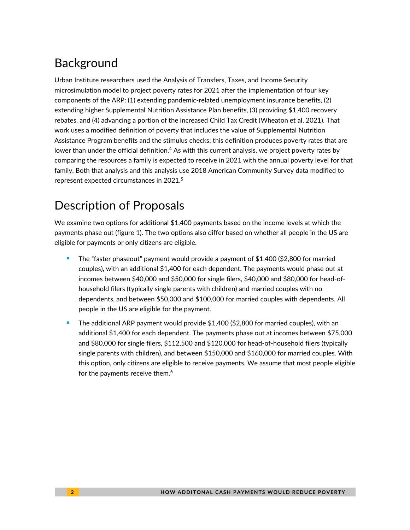# **Background**

Urban Institute researchers used the Analysis of Transfers, Taxes, and Income Security microsimulation model to project poverty rates for 2021 after the implementation of four key components of the ARP: (1) extending pandemic-related unemployment insurance benefits, (2) extending higher Supplemental Nutrition Assistance Plan benefits, (3) providing \$1,400 recovery rebates, and (4) advancing a portion of the increased Child Tax Credit (Wheaton et al. 2021). That work uses a modified definition of poverty that includes the value of Supplemental Nutrition Assistance Program benefits and the stimulus checks; this definition produces poverty rates that are lower than under the official definition.<sup>4</sup> As with this current analysis, we project poverty rates by comparing the resources a family is expected to receive in 2021 with the annual poverty level for that family. Both that analysis and this analysis use 2018 American Community Survey data modified to represent expected circumstances in 2021.<sup>5</sup>

# Description of Proposals

We examine two options for additional \$1,400 payments based on the income levels at which the payments phase out (figure 1). The two options also differ based on whether all people in the US are eligible for payments or only citizens are eligible.

- The "faster phaseout" payment would provide a payment of \$1,400 (\$2,800 for married couples), with an additional \$1,400 for each dependent. The payments would phase out at incomes between \$40,000 and \$50,000 for single filers, \$40,000 and \$80,000 for head-ofhousehold filers (typically single parents with children) and married couples with no dependents, and between \$50,000 and \$100,000 for married couples with dependents. All people in the US are eligible for the payment.
- The additional ARP payment would provide  $$1,400$  (\$2,800 for married couples), with an additional \$1,400 for each dependent. The payments phase out at incomes between \$75,000 and \$80,000 for single filers, \$112,500 and \$120,000 for head-of-household filers (typically single parents with children), and between \$150,000 and \$160,000 for married couples. With this option, only citizens are eligible to receive payments. We assume that most people eligible for the payments receive them.<sup>6</sup>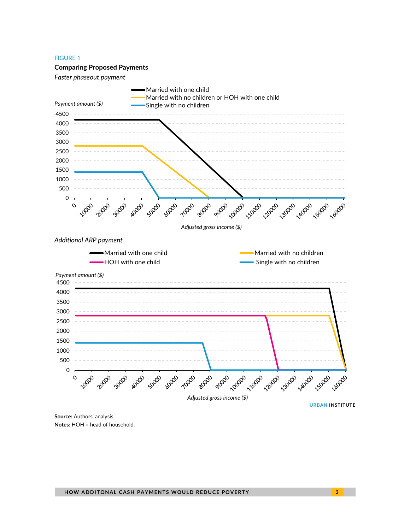#### FIGURE 1

#### **Comparing Proposed Payments**

*Faster phaseout payment*



**Source:** Authors' analysis. **Notes:** HOH = head of household.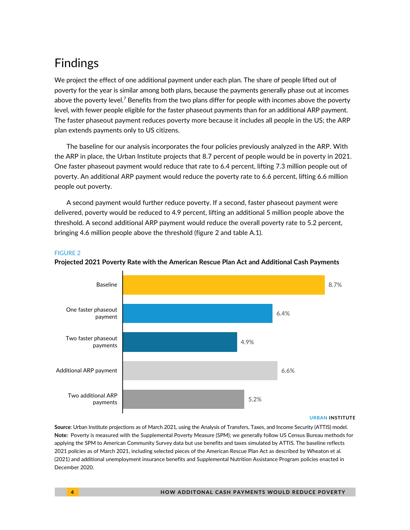# Findings

We project the effect of one additional payment under each plan. The share of people lifted out of poverty for the year is similar among both plans, because the payments generally phase out at incomes above the poverty level. $^7$  Benefits from the two plans differ for people with incomes above the poverty level, with fewer people eligible for the faster phaseout payments than for an additional ARP payment. The faster phaseout payment reduces poverty more because it includes all people in the US; the ARP plan extends payments only to US citizens.

The baseline for our analysis incorporates the four policies previously analyzed in the ARP. With the ARP in place, the Urban Institute projects that 8.7 percent of people would be in poverty in 2021. One faster phaseout payment would reduce that rate to 6.4 percent, lifting 7.3 million people out of poverty. An additional ARP payment would reduce the poverty rate to 6.6 percent, lifting 6.6 million people out poverty.

A second payment would further reduce poverty. If a second, faster phaseout payment were delivered, poverty would be reduced to 4.9 percent, lifting an additional 5 million people above the threshold. A second additional ARP payment would reduce the overall poverty rate to 5.2 percent, bringing 4.6 million people above the threshold (figure 2 and table A.1).

### FIGURE 2



### **Projected 2021 Poverty Rate with the American Rescue Plan Act and Additional Cash Payments**

#### **URBAN INSTITUTE**

**Source**: Urban Institute projections as of March 2021, using the Analysis of Transfers, Taxes, and Income Security (ATTIS) model. **Note:** Poverty is measured with the Supplemental Poverty Measure (SPM); we generally follow US Census Bureau methods for applying the SPM to American Community Survey data but use benefits and taxes simulated by ATTIS. The baseline reflects 2021 policies as of March 2021, including selected pieces of the American Rescue Plan Act as described by Wheaton et al. (2021) and additional unemployment insurance benefits and Supplemental Nutrition Assistance Program policies enacted in December 2020.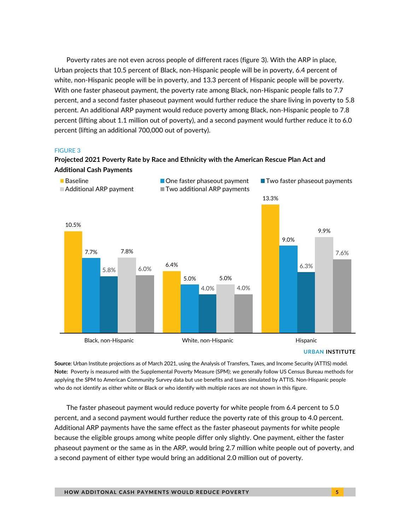Poverty rates are not even across people of different races (figure 3). With the ARP in place, Urban projects that 10.5 percent of Black, non-Hispanic people will be in poverty, 6.4 percent of white, non-Hispanic people will be in poverty, and 13.3 percent of Hispanic people will be poverty. With one faster phaseout payment, the poverty rate among Black, non-Hispanic people falls to 7.7 percent, and a second faster phaseout payment would further reduce the share living in poverty to 5.8 percent. An additional ARP payment would reduce poverty among Black, non-Hispanic people to 7.8 percent (lifting about 1.1 million out of poverty), and a second payment would further reduce it to 6.0 percent (lifting an additional 700,000 out of poverty).

#### FIGURE 3

### **Projected 2021 Poverty Rate by Race and Ethnicity with the American Rescue Plan Act and Additional Cash Payments**



**URBAN INSTITUTE**

**Source**: Urban Institute projections as of March 2021, using the Analysis of Transfers, Taxes, and Income Security (ATTIS) model. **Note:** Poverty is measured with the Supplemental Poverty Measure (SPM); we generally follow US Census Bureau methods for applying the SPM to American Community Survey data but use benefits and taxes simulated by ATTIS. Non-Hispanic people who do not identify as either white or Black or who identify with multiple races are not shown in this figure.

The faster phaseout payment would reduce poverty for white people from 6.4 percent to 5.0 percent, and a second payment would further reduce the poverty rate of this group to 4.0 percent. Additional ARP payments have the same effect as the faster phaseout payments for white people because the eligible groups among white people differ only slightly. One payment, either the faster phaseout payment or the same as in the ARP, would bring 2.7 million white people out of poverty, and a second payment of either type would bring an additional 2.0 million out of poverty.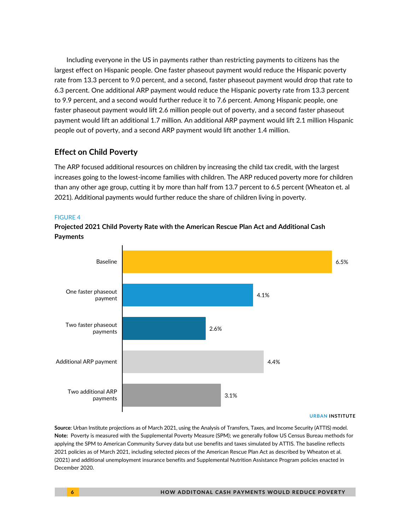Including everyone in the US in payments rather than restricting payments to citizens has the largest effect on Hispanic people. One faster phaseout payment would reduce the Hispanic poverty rate from 13.3 percent to 9.0 percent, and a second, faster phaseout payment would drop that rate to 6.3 percent. One additional ARP payment would reduce the Hispanic poverty rate from 13.3 percent to 9.9 percent, and a second would further reduce it to 7.6 percent. Among Hispanic people, one faster phaseout payment would lift 2.6 million people out of poverty, and a second faster phaseout payment would lift an additional 1.7 million. An additional ARP payment would lift 2.1 million Hispanic people out of poverty, and a second ARP payment would lift another 1.4 million.

### **Effect on Child Poverty**

The ARP focused additional resources on children by increasing the child tax credit, with the largest increases going to the lowest-income families with children. The ARP reduced poverty more for children than any other age group, cutting it by more than half from 13.7 percent to 6.5 percent (Wheaton et. al 2021). Additional payments would further reduce the share of children living in poverty.

### FIGURE 4

**Projected 2021 Child Poverty Rate with the American Rescue Plan Act and Additional Cash Payments**



#### **URBAN INSTITUTE**

**Source**: Urban Institute projections as of March 2021, using the Analysis of Transfers, Taxes, and Income Security (ATTIS) model. **Note:** Poverty is measured with the Supplemental Poverty Measure (SPM); we generally follow US Census Bureau methods for applying the SPM to American Community Survey data but use benefits and taxes simulated by ATTIS. The baseline reflects 2021 policies as of March 2021, including selected pieces of the American Rescue Plan Act as described by Wheaton et al. (2021) and additional unemployment insurance benefits and Supplemental Nutrition Assistance Program policies enacted in December 2020.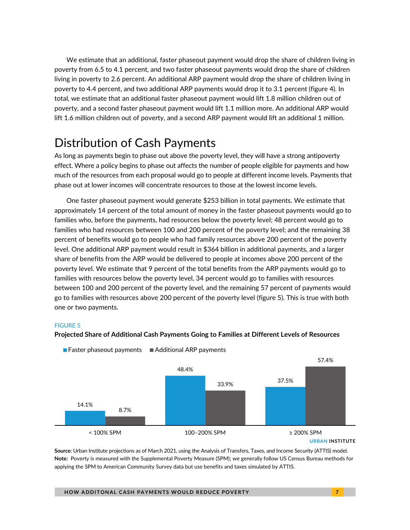We estimate that an additional, faster phaseout payment would drop the share of children living in poverty from 6.5 to 4.1 percent, and two faster phaseout payments would drop the share of children living in poverty to 2.6 percent. An additional ARP payment would drop the share of children living in poverty to 4.4 percent, and two additional ARP payments would drop it to 3.1 percent (figure 4). In total, we estimate that an additional faster phaseout payment would lift 1.8 million children out of poverty, and a second faster phaseout payment would lift 1.1 million more. An additional ARP would lift 1.6 million children out of poverty, and a second ARP payment would lift an additional 1 million.

### Distribution of Cash Payments

As long as payments begin to phase out above the poverty level, they will have a strong antipoverty effect. Where a policy begins to phase out affects the number of people eligible for payments and how much of the resources from each proposal would go to people at different income levels. Payments that phase out at lower incomes will concentrate resources to those at the lowest income levels.

One faster phaseout payment would generate \$253 billion in total payments. We estimate that approximately 14 percent of the total amount of money in the faster phaseout payments would go to families who, before the payments, had resources below the poverty level; 48 percent would go to families who had resources between 100 and 200 percent of the poverty level; and the remaining 38 percent of benefits would go to people who had family resources above 200 percent of the poverty level. One additional ARP payment would result in \$364 billion in additional payments, and a larger share of benefits from the ARP would be delivered to people at incomes above 200 percent of the poverty level. We estimate that 9 percent of the total benefits from the ARP payments would go to families with resources below the poverty level, 34 percent would go to families with resources between 100 and 200 percent of the poverty level, and the remaining 57 percent of payments would go to families with resources above 200 percent of the poverty level (figure 5). This is true with both one or two payments.

#### FIGURE 5





 $\blacksquare$  Faster phaseout payments  $\blacksquare$  Additional ARP payments

**Source**: Urban Institute projections as of March 2021, using the Analysis of Transfers, Taxes, and Income Security (ATTIS) model. **Note:** Poverty is measured with the Supplemental Poverty Measure (SPM); we generally follow US Census Bureau methods for applying the SPM to American Community Survey data but use benefits and taxes simulated by ATTIS.

**URBAN INSTITUTE**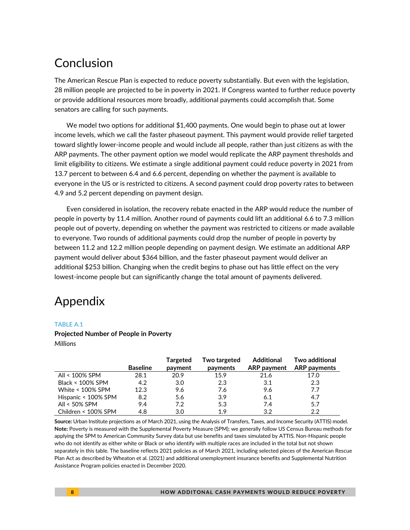## Conclusion

The American Rescue Plan is expected to reduce poverty substantially. But even with the legislation, 28 million people are projected to be in poverty in 2021. If Congress wanted to further reduce poverty or provide additional resources more broadly, additional payments could accomplish that. Some senators are calling for such payments.

We model two options for additional \$1,400 payments. One would begin to phase out at lower income levels, which we call the faster phaseout payment. This payment would provide relief targeted toward slightly lower-income people and would include all people, rather than just citizens as with the ARP payments. The other payment option we model would replicate the ARP payment thresholds and limit eligibility to citizens. We estimate a single additional payment could reduce poverty in 2021 from 13.7 percent to between 6.4 and 6.6 percent, depending on whether the payment is available to everyone in the US or is restricted to citizens. A second payment could drop poverty rates to between 4.9 and 5.2 percent depending on payment design.

Even considered in isolation, the recovery rebate enacted in the ARP would reduce the number of people in poverty by 11.4 million. Another round of payments could lift an additional 6.6 to 7.3 million people out of poverty, depending on whether the payment was restricted to citizens or made available to everyone. Two rounds of additional payments could drop the number of people in poverty by between 11.2 and 12.2 million people depending on payment design. We estimate an additional ARP payment would deliver about \$364 billion, and the faster phaseout payment would deliver an additional \$253 billion. Changing when the credit begins to phase out has little effect on the very lowest-income people but can significantly change the total amount of payments delivered.

## Appendix

### TABLE A.1

### **Projected Number of People in Poverty**

*Millions*

|                     | <b>Baseline</b> | <b>Targeted</b><br>payment | Two targeted<br>payments | <b>Additional</b><br><b>ARP</b> payment | Two additional<br><b>ARP</b> payments |
|---------------------|-----------------|----------------------------|--------------------------|-----------------------------------------|---------------------------------------|
| All < 100% SPM      | 28.1            | 20.9                       | 15.9                     | 21.6                                    | 17.0                                  |
| Black < 100% SPM    | 4.2             | 3.0                        | 2.3                      | 3.1                                     | 2.3                                   |
| White < 100% SPM    | 12.3            | 9.6                        | 7.6                      | 9.6                                     | 7.7                                   |
| Hispanic < 100% SPM | 8.2             | 5.6                        | 3.9                      | 6.1                                     | 4.7                                   |
| All < 50% SPM       | 9.4             | 7.2                        | 5.3                      | 7.4                                     | 5.7                                   |
| Children < 100% SPM | 4.8             | 3.0                        | 19                       | 3.2                                     | 2.2                                   |

**Source:** Urban Institute projections as of March 2021, using the Analysis of Transfers, Taxes, and Income Security (ATTIS) model. **Note:** Poverty is measured with the Supplemental Poverty Measure (SPM); we generally follow US Census Bureau methods for applying the SPM to American Community Survey data but use benefits and taxes simulated by ATTIS. Non-Hispanic people who do not identify as either white or Black or who identify with multiple races are included in the total but not shown separately in this table. The baseline reflects 2021 policies as of March 2021, including selected pieces of the American Rescue Plan Act as described by Wheaton et al. (2021) and additional unemployment insurance benefits and Supplemental Nutrition Assistance Program policies enacted in December 2020.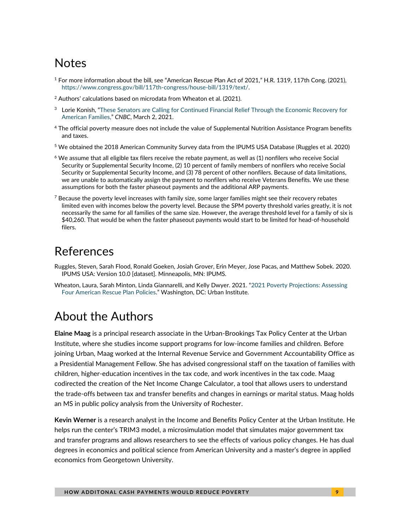# **Notes**

- $1$  For more information about the bill, see "American Rescue Plan Act of 2021," H.R. 1319, 117th Cong. (2021), [https://www.congress.gov/bill/117th-congress/house-bill/1319/text/.](https://www.congress.gov/bill/117th-congress/house-bill/1319/text/)
- <sup>2</sup> Authors' calculations based on microdata from Wheaton et al. (2021).
- <sup>3</sup> Lorie Konish, "These Senators are Calling for Continued Financial Relief Through the Economic Recovery for [American Families,](https://www.cnbc.com/2021/03/02/senators-call-for-recurring-stimulus-checks-unemployment-extensions.html)" *CNBC*, March 2, 2021.
- <sup>4</sup> The official poverty measure does not include the value of Supplemental Nutrition Assistance Program benefits and taxes.
- <sup>5</sup> We obtained the 2018 American Community Survey data from the IPUMS USA Database (Ruggles et al. 2020)
- $6$  We assume that all eligible tax filers receive the rebate payment, as well as (1) nonfilers who receive Social Security or Supplemental Security Income, (2) 10 percent of family members of nonfilers who receive Social Security or Supplemental Security Income, and (3) 78 percent of other nonfilers. Because of data limitations, we are unable to automatically assign the payment to nonfilers who receive Veterans Benefits. We use these assumptions for both the faster phaseout payments and the additional ARP payments.
- $7$  Because the poverty level increases with family size, some larger families might see their recovery rebates limited even with incomes below the poverty level. Because the SPM poverty threshold varies greatly, it is not necessarily the same for all families of the same size. However, the average threshold level for a family of six is \$40,260. That would be when the faster phaseout payments would start to be limited for head-of-household filers.

### References

- Ruggles, Steven, Sarah Flood, Ronald Goeken, Josiah Grover, Erin Meyer, Jose Pacas, and Matthew Sobek. 2020. IPUMS USA: Version 10.0 [dataset]. Minneapolis, MN: IPUMS.
- Wheaton, Laura, Sarah Minton, Linda Giannarelli, and Kelly Dwyer. 2021. "[2021 Poverty Projections: Assessing](https://www.urban.org/research/publication/2021-poverty-projections-assessing-four-american-rescue-plan-policies)  [Four American Rescue Plan Policies](https://www.urban.org/research/publication/2021-poverty-projections-assessing-four-american-rescue-plan-policies)." Washington, DC: Urban Institute.

# About the Authors

**Elaine Maag** is a principal research associate in the Urban-Brookings Tax Policy Center at the Urban Institute, where she studies income support programs for low-income families and children. Before joining Urban, Maag worked at the Internal Revenue Service and Government Accountability Office as a Presidential Management Fellow. She has advised congressional staff on the taxation of families with children, higher-education incentives in the tax code, and work incentives in the tax code. Maag codirected the creation of the Net Income Change Calculator, a tool that allows users to understand the trade-offs between tax and transfer benefits and changes in earnings or marital status. Maag holds an MS in public policy analysis from the University of Rochester.

**Kevin Werner** is a research analyst in the Income and Benefits Policy Center at the Urban Institute. He helps run the center's TRIM3 model, a microsimulation model that simulates major government tax and transfer programs and allows researchers to see the effects of various policy changes. He has dual degrees in economics and political science from American University and a master's degree in applied economics from Georgetown University.